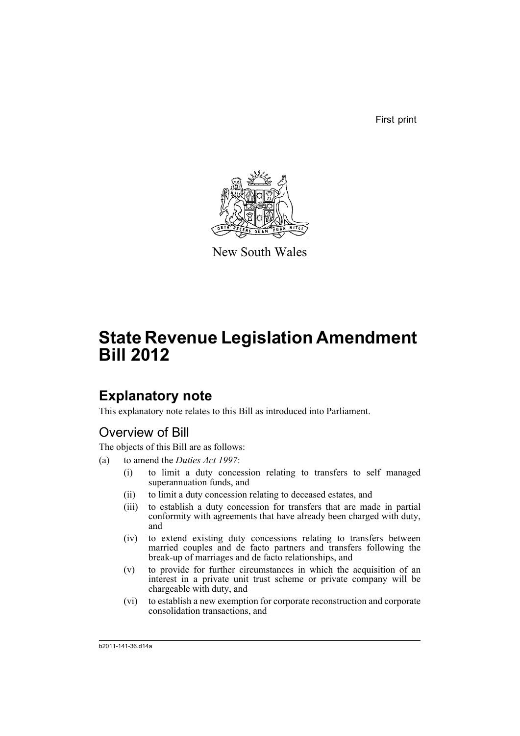First print



New South Wales

# **State Revenue Legislation Amendment Bill 2012**

# **Explanatory note**

This explanatory note relates to this Bill as introduced into Parliament.

# Overview of Bill

The objects of this Bill are as follows:

- (a) to amend the *Duties Act 1997*:
	- (i) to limit a duty concession relating to transfers to self managed superannuation funds, and
	- (ii) to limit a duty concession relating to deceased estates, and
	- (iii) to establish a duty concession for transfers that are made in partial conformity with agreements that have already been charged with duty, and
	- (iv) to extend existing duty concessions relating to transfers between married couples and de facto partners and transfers following the break-up of marriages and de facto relationships, and
	- (v) to provide for further circumstances in which the acquisition of an interest in a private unit trust scheme or private company will be chargeable with duty, and
	- (vi) to establish a new exemption for corporate reconstruction and corporate consolidation transactions, and

b2011-141-36.d14a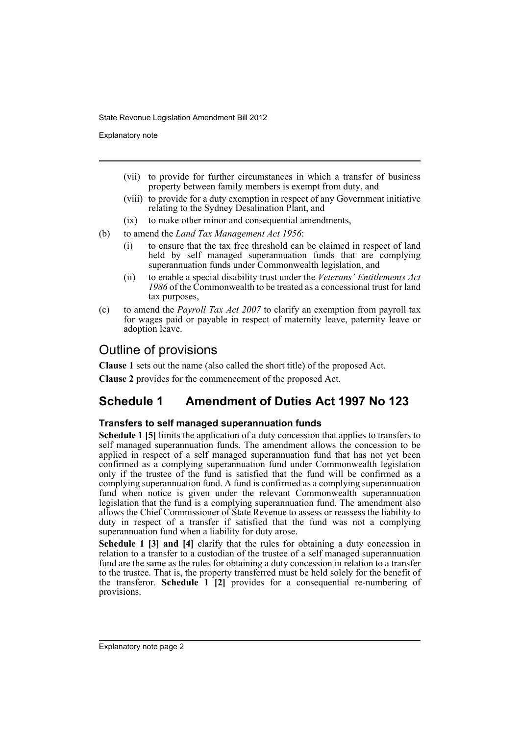Explanatory note

- (vii) to provide for further circumstances in which a transfer of business property between family members is exempt from duty, and
- (viii) to provide for a duty exemption in respect of any Government initiative relating to the Sydney Desalination Plant, and
- (ix) to make other minor and consequential amendments,
- (b) to amend the *Land Tax Management Act 1956*:
	- (i) to ensure that the tax free threshold can be claimed in respect of land held by self managed superannuation funds that are complying superannuation funds under Commonwealth legislation, and
	- (ii) to enable a special disability trust under the *Veterans' Entitlements Act 1986* of the Commonwealth to be treated as a concessional trust for land tax purposes,
- (c) to amend the *Payroll Tax Act 2007* to clarify an exemption from payroll tax for wages paid or payable in respect of maternity leave, paternity leave or adoption leave.

# Outline of provisions

**Clause 1** sets out the name (also called the short title) of the proposed Act.

**Clause 2** provides for the commencement of the proposed Act.

# **Schedule 1 Amendment of Duties Act 1997 No 123**

## **Transfers to self managed superannuation funds**

**Schedule 1 [5]** limits the application of a duty concession that applies to transfers to self managed superannuation funds. The amendment allows the concession to be applied in respect of a self managed superannuation fund that has not yet been confirmed as a complying superannuation fund under Commonwealth legislation only if the trustee of the fund is satisfied that the fund will be confirmed as a complying superannuation fund. A fund is confirmed as a complying superannuation fund when notice is given under the relevant Commonwealth superannuation legislation that the fund is a complying superannuation fund. The amendment also allows the Chief Commissioner of State Revenue to assess or reassess the liability to duty in respect of a transfer if satisfied that the fund was not a complying superannuation fund when a liability for duty arose.

**Schedule 1 [3] and [4]** clarify that the rules for obtaining a duty concession in relation to a transfer to a custodian of the trustee of a self managed superannuation fund are the same as the rules for obtaining a duty concession in relation to a transfer to the trustee. That is, the property transferred must be held solely for the benefit of the transferor. **Schedule 1 [2]** provides for a consequential re-numbering of provisions.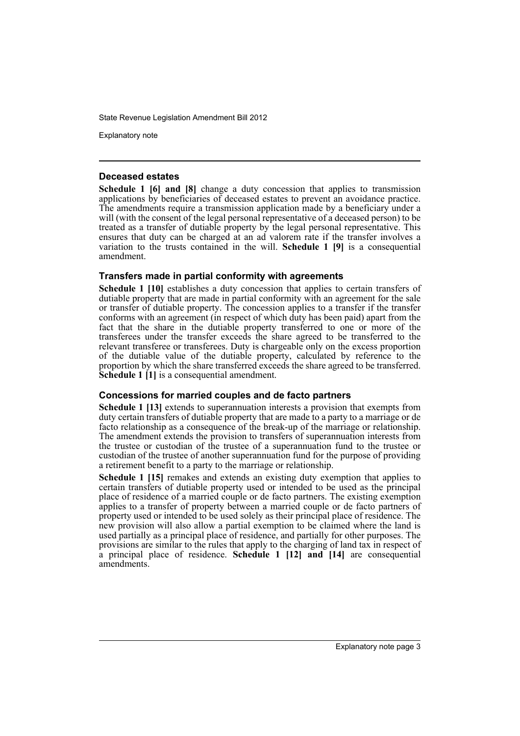Explanatory note

#### **Deceased estates**

**Schedule 1 [6] and [8]** change a duty concession that applies to transmission applications by beneficiaries of deceased estates to prevent an avoidance practice. The amendments require a transmission application made by a beneficiary under a will (with the consent of the legal personal representative of a deceased person) to be treated as a transfer of dutiable property by the legal personal representative. This ensures that duty can be charged at an ad valorem rate if the transfer involves a variation to the trusts contained in the will. **Schedule 1 [9]** is a consequential amendment.

### **Transfers made in partial conformity with agreements**

**Schedule 1 [10]** establishes a duty concession that applies to certain transfers of dutiable property that are made in partial conformity with an agreement for the sale or transfer of dutiable property. The concession applies to a transfer if the transfer conforms with an agreement (in respect of which duty has been paid) apart from the fact that the share in the dutiable property transferred to one or more of the transferees under the transfer exceeds the share agreed to be transferred to the relevant transferee or transferees. Duty is chargeable only on the excess proportion of the dutiable value of the dutiable property, calculated by reference to the proportion by which the share transferred exceeds the share agreed to be transferred. **Schedule 1 [1]** is a consequential amendment.

## **Concessions for married couples and de facto partners**

**Schedule 1 [13]** extends to superannuation interests a provision that exempts from duty certain transfers of dutiable property that are made to a party to a marriage or de facto relationship as a consequence of the break-up of the marriage or relationship. The amendment extends the provision to transfers of superannuation interests from the trustee or custodian of the trustee of a superannuation fund to the trustee or custodian of the trustee of another superannuation fund for the purpose of providing a retirement benefit to a party to the marriage or relationship.

**Schedule 1 [15]** remakes and extends an existing duty exemption that applies to certain transfers of dutiable property used or intended to be used as the principal place of residence of a married couple or de facto partners. The existing exemption applies to a transfer of property between a married couple or de facto partners of property used or intended to be used solely as their principal place of residence. The new provision will also allow a partial exemption to be claimed where the land is used partially as a principal place of residence, and partially for other purposes. The provisions are similar to the rules that apply to the charging of land tax in respect of a principal place of residence. **Schedule 1 [12] and [14]** are consequential amendments.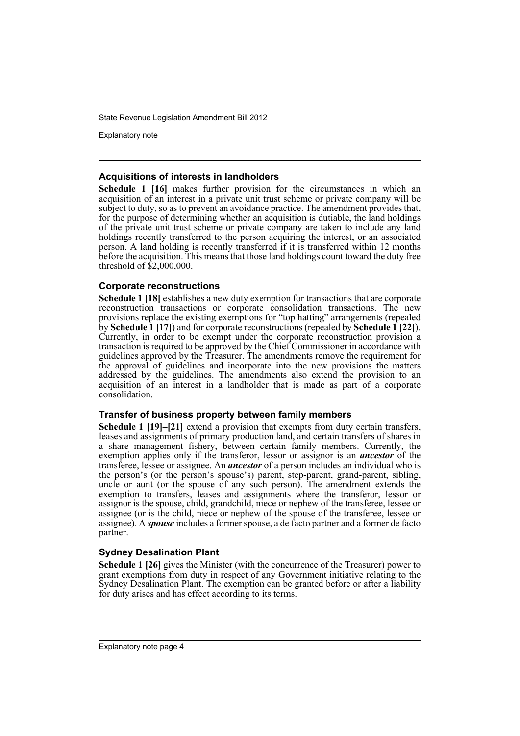Explanatory note

#### **Acquisitions of interests in landholders**

**Schedule 1 [16]** makes further provision for the circumstances in which an acquisition of an interest in a private unit trust scheme or private company will be subject to duty, so as to prevent an avoidance practice. The amendment provides that, for the purpose of determining whether an acquisition is dutiable, the land holdings of the private unit trust scheme or private company are taken to include any land holdings recently transferred to the person acquiring the interest, or an associated person. A land holding is recently transferred if it is transferred within 12 months before the acquisition. This means that those land holdings count toward the duty free threshold of \$2,000,000.

## **Corporate reconstructions**

**Schedule 1 [18]** establishes a new duty exemption for transactions that are corporate reconstruction transactions or corporate consolidation transactions. The new provisions replace the existing exemptions for "top hatting" arrangements (repealed by **Schedule 1 [17]**) and for corporate reconstructions (repealed by **Schedule 1 [22]**). Currently, in order to be exempt under the corporate reconstruction provision a transaction is required to be approved by the Chief Commissioner in accordance with guidelines approved by the Treasurer. The amendments remove the requirement for the approval of guidelines and incorporate into the new provisions the matters addressed by the guidelines. The amendments also extend the provision to an acquisition of an interest in a landholder that is made as part of a corporate consolidation.

## **Transfer of business property between family members**

**Schedule 1 [19]–[21]** extend a provision that exempts from duty certain transfers. leases and assignments of primary production land, and certain transfers of shares in a share management fishery, between certain family members. Currently, the exemption applies only if the transferor, lessor or assignor is an *ancestor* of the transferee, lessee or assignee. An *ancestor* of a person includes an individual who is the person's (or the person's spouse's) parent, step-parent, grand-parent, sibling, uncle or aunt (or the spouse of any such person). The amendment extends the exemption to transfers, leases and assignments where the transferor, lessor or assignor is the spouse, child, grandchild, niece or nephew of the transferee, lessee or assignee (or is the child, niece or nephew of the spouse of the transferee, lessee or assignee). A *spouse* includes a former spouse, a de facto partner and a former de facto partner.

## **Sydney Desalination Plant**

**Schedule 1 [26]** gives the Minister (with the concurrence of the Treasurer) power to grant exemptions from duty in respect of any Government initiative relating to the Sydney Desalination Plant. The exemption can be granted before or after a liability for duty arises and has effect according to its terms.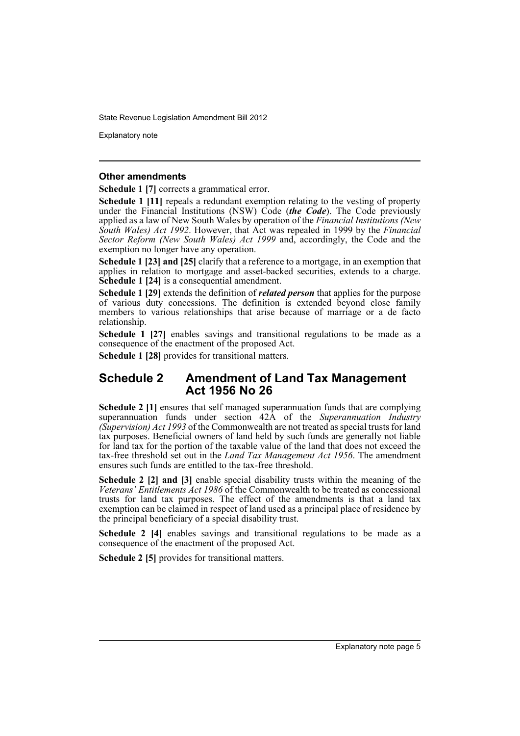Explanatory note

#### **Other amendments**

**Schedule 1 [7]** corrects a grammatical error.

**Schedule 1 [11]** repeals a redundant exemption relating to the vesting of property under the Financial Institutions (NSW) Code (*the Code*). The Code previously applied as a law of New South Wales by operation of the *Financial Institutions (New South Wales) Act 1992*. However, that Act was repealed in 1999 by the *Financial Sector Reform (New South Wales) Act 1999* and, accordingly, the Code and the exemption no longer have any operation.

**Schedule 1 [23] and [25]** clarify that a reference to a mortgage, in an exemption that applies in relation to mortgage and asset-backed securities, extends to a charge. **Schedule 1 [24]** is a consequential amendment.

**Schedule 1 [29]** extends the definition of *related person* that applies for the purpose of various duty concessions. The definition is extended beyond close family members to various relationships that arise because of marriage or a de facto relationship.

**Schedule 1 [27]** enables savings and transitional regulations to be made as a consequence of the enactment of the proposed Act.

**Schedule 1 [28]** provides for transitional matters.

# **Schedule 2 Amendment of Land Tax Management Act 1956 No 26**

**Schedule 2 [1]** ensures that self managed superannuation funds that are complying superannuation funds under section 42A of the *Superannuation Industry (Supervision) Act 1993* of the Commonwealth are not treated as special trusts for land tax purposes. Beneficial owners of land held by such funds are generally not liable for land tax for the portion of the taxable value of the land that does not exceed the tax-free threshold set out in the *Land Tax Management Act 1956*. The amendment ensures such funds are entitled to the tax-free threshold.

**Schedule 2 [2] and [3]** enable special disability trusts within the meaning of the *Veterans' Entitlements Act 1986* of the Commonwealth to be treated as concessional trusts for land tax purposes. The effect of the amendments is that a land tax exemption can be claimed in respect of land used as a principal place of residence by the principal beneficiary of a special disability trust.

**Schedule 2 [4]** enables savings and transitional regulations to be made as a consequence of the enactment of the proposed Act.

**Schedule 2 [5]** provides for transitional matters.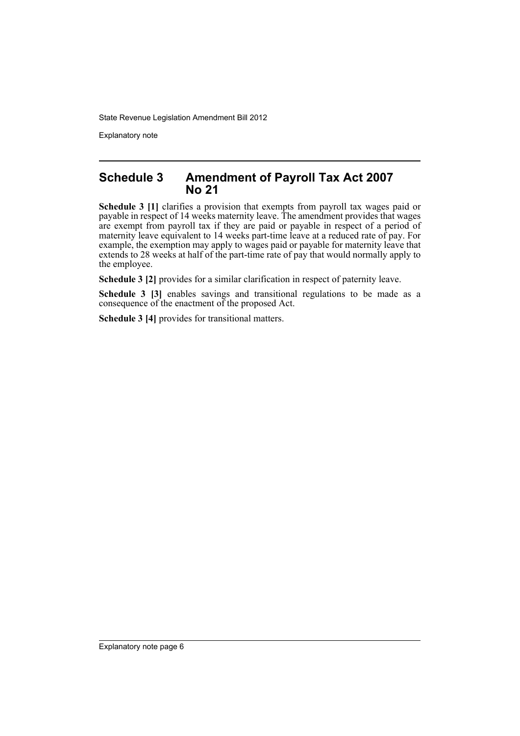Explanatory note

# **Schedule 3 Amendment of Payroll Tax Act 2007 No 21**

**Schedule 3 [1]** clarifies a provision that exempts from payroll tax wages paid or payable in respect of 14 weeks maternity leave. The amendment provides that wages are exempt from payroll tax if they are paid or payable in respect of a period of maternity leave equivalent to 14 weeks part-time leave at a reduced rate of pay. For example, the exemption may apply to wages paid or payable for maternity leave that extends to 28 weeks at half of the part-time rate of pay that would normally apply to the employee.

**Schedule 3 [2]** provides for a similar clarification in respect of paternity leave.

**Schedule 3 [3]** enables savings and transitional regulations to be made as a consequence of the enactment of the proposed Act.

**Schedule 3 [4]** provides for transitional matters.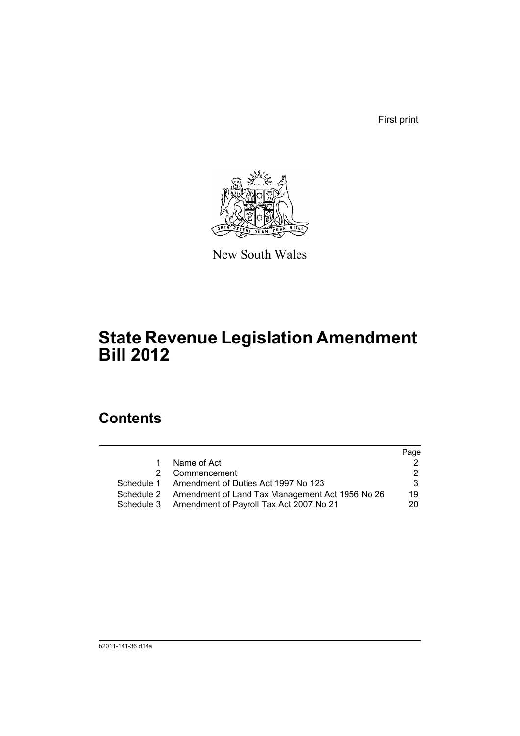First print



New South Wales

# **State Revenue Legislation Amendment Bill 2012**

# **Contents**

|    |                                                            | Page |
|----|------------------------------------------------------------|------|
| 1. | Name of Act                                                |      |
|    | 2 Commencement                                             |      |
|    | Schedule 1 Amendment of Duties Act 1997 No 123             | 3    |
|    | Schedule 2 Amendment of Land Tax Management Act 1956 No 26 | 19   |
|    | Schedule 3 Amendment of Payroll Tax Act 2007 No 21         | 20   |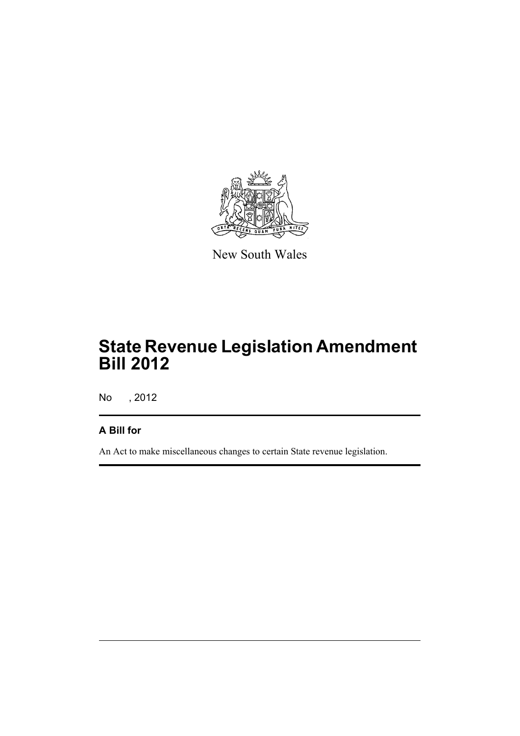

New South Wales

# **State Revenue Legislation Amendment Bill 2012**

No , 2012

# **A Bill for**

An Act to make miscellaneous changes to certain State revenue legislation.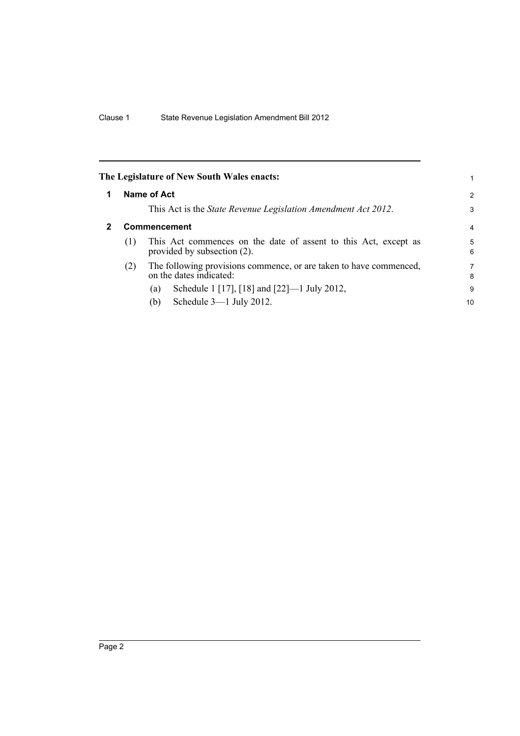<span id="page-9-1"></span><span id="page-9-0"></span>

|   |     | The Legislature of New South Wales enacts:                                                        |                |
|---|-----|---------------------------------------------------------------------------------------------------|----------------|
| 1 |     | Name of Act                                                                                       | 2              |
|   |     | This Act is the <i>State Revenue Legislation Amendment Act 2012</i> .                             | 3              |
| 2 |     | Commencement                                                                                      | $\overline{4}$ |
|   | (1) | This Act commences on the date of assent to this Act, except as<br>provided by subsection $(2)$ . | 5<br>6         |
|   | (2) | The following provisions commence, or are taken to have commenced,<br>on the dates indicated:     | 7<br>8         |
|   |     | Schedule 1 [17], [18] and [22]—1 July 2012,<br>(a)                                                | 9              |
|   |     | Schedule $3-1$ July 2012.<br>(b)                                                                  | 10             |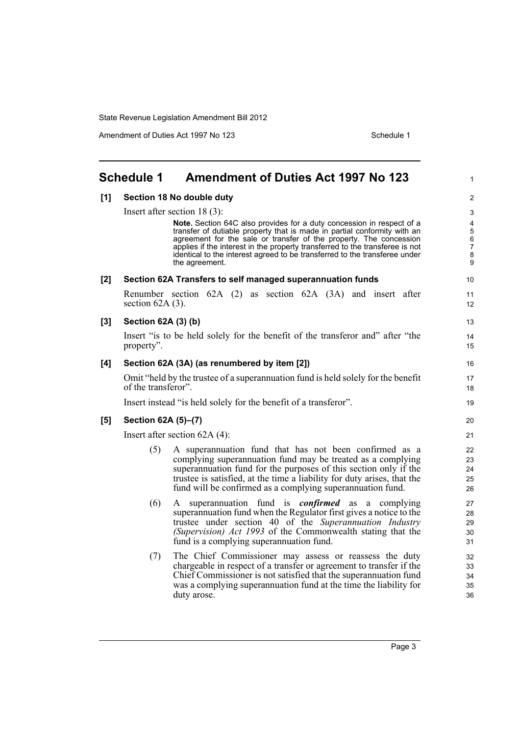Amendment of Duties Act 1997 No 123 Schedule 1

<span id="page-10-0"></span>

|       | <b>Schedule 1</b>   | <b>Amendment of Duties Act 1997 No 123</b>                                                                                                                                                                                                                                                                                         | 1                          |
|-------|---------------------|------------------------------------------------------------------------------------------------------------------------------------------------------------------------------------------------------------------------------------------------------------------------------------------------------------------------------------|----------------------------|
| [1]   |                     | Section 18 No double duty                                                                                                                                                                                                                                                                                                          | $\overline{c}$             |
|       |                     | Insert after section $18(3)$ :                                                                                                                                                                                                                                                                                                     | 3                          |
|       |                     | Note. Section 64C also provides for a duty concession in respect of a<br>transfer of dutiable property that is made in partial conformity with an<br>agreement for the sale or transfer of the property. The concession                                                                                                            | 4<br>5<br>6                |
|       |                     | applies if the interest in the property transferred to the transferee is not<br>identical to the interest agreed to be transferred to the transferee under<br>the agreement.                                                                                                                                                       | 7<br>8<br>9                |
| [2]   |                     | Section 62A Transfers to self managed superannuation funds                                                                                                                                                                                                                                                                         | 10                         |
|       | section $62A(3)$ .  | Renumber section 62A (2) as section 62A (3A) and insert after                                                                                                                                                                                                                                                                      | 11<br>12                   |
| $[3]$ | Section 62A (3) (b) |                                                                                                                                                                                                                                                                                                                                    | 13                         |
|       | property".          | Insert "is to be held solely for the benefit of the transferor and" after "the                                                                                                                                                                                                                                                     | 14<br>15                   |
| [4]   |                     | Section 62A (3A) (as renumbered by item [2])                                                                                                                                                                                                                                                                                       | 16                         |
|       | of the transferor". | Omit "held by the trustee of a superannuation fund is held solely for the benefit                                                                                                                                                                                                                                                  | 17<br>18                   |
|       |                     | Insert instead "is held solely for the benefit of a transferor".                                                                                                                                                                                                                                                                   | 19                         |
| [5]   | Section 62A (5)-(7) |                                                                                                                                                                                                                                                                                                                                    | 20                         |
|       |                     | Insert after section 62A (4):                                                                                                                                                                                                                                                                                                      | 21                         |
|       | (5)                 | A superannuation fund that has not been confirmed as a<br>complying superannuation fund may be treated as a complying<br>superannuation fund for the purposes of this section only if the<br>trustee is satisfied, at the time a liability for duty arises, that the<br>fund will be confirmed as a complying superannuation fund. | 22<br>23<br>24<br>25<br>26 |
|       | (6)                 | superannuation fund is <b><i>confirmed</i></b> as a complying<br>A<br>superannuation fund when the Regulator first gives a notice to the<br>trustee under section 40 of the Superannuation Industry<br>(Supervision) Act 1993 of the Commonwealth stating that the<br>fund is a complying superannuation fund.                     | 27<br>28<br>29<br>30<br>31 |
|       | (7)                 | The Chief Commissioner may assess or reassess the duty<br>chargeable in respect of a transfer or agreement to transfer if the<br>Chief Commissioner is not satisfied that the superannuation fund<br>was a complying superannuation fund at the time the liability for<br>duty arose.                                              | 32<br>33<br>34<br>35<br>36 |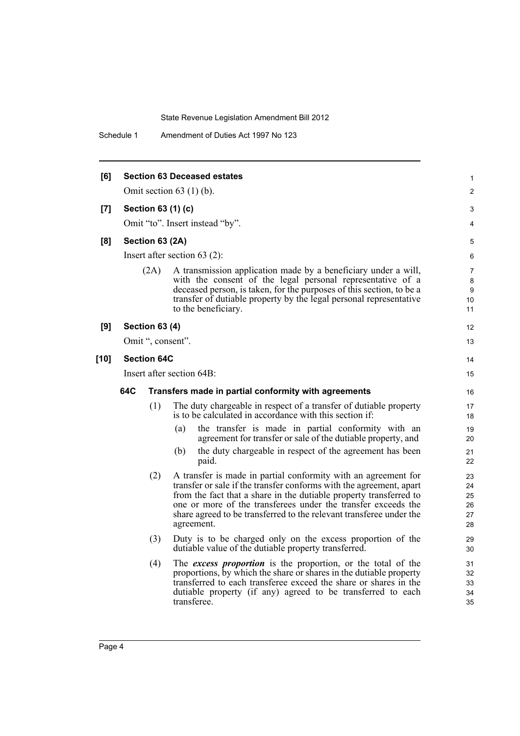Schedule 1 Amendment of Duties Act 1997 No 123

| [6]    |     |                       | <b>Section 63 Deceased estates</b>                                                                                                                                                                                                                                                                                                                                | 1                                |
|--------|-----|-----------------------|-------------------------------------------------------------------------------------------------------------------------------------------------------------------------------------------------------------------------------------------------------------------------------------------------------------------------------------------------------------------|----------------------------------|
|        |     |                       | Omit section $63$ (1) (b).                                                                                                                                                                                                                                                                                                                                        | $\overline{c}$                   |
| [7]    |     |                       | Section 63 (1) (c)                                                                                                                                                                                                                                                                                                                                                | 3                                |
|        |     |                       | Omit "to". Insert instead "by".                                                                                                                                                                                                                                                                                                                                   | 4                                |
| [8]    |     | Section 63 (2A)       |                                                                                                                                                                                                                                                                                                                                                                   | 5                                |
|        |     |                       | Insert after section $63$ (2):                                                                                                                                                                                                                                                                                                                                    | 6                                |
|        |     | (2A)                  | A transmission application made by a beneficiary under a will,<br>with the consent of the legal personal representative of a<br>deceased person, is taken, for the purposes of this section, to be a<br>transfer of dutiable property by the legal personal representative<br>to the beneficiary.                                                                 | 7<br>8<br>9<br>10<br>11          |
| [9]    |     | <b>Section 63 (4)</b> |                                                                                                                                                                                                                                                                                                                                                                   | 12                               |
|        |     | Omit ", consent".     |                                                                                                                                                                                                                                                                                                                                                                   | 13                               |
| $[10]$ |     | <b>Section 64C</b>    |                                                                                                                                                                                                                                                                                                                                                                   | 14                               |
|        |     |                       | Insert after section 64B:                                                                                                                                                                                                                                                                                                                                         | 15                               |
|        | 64C |                       | Transfers made in partial conformity with agreements                                                                                                                                                                                                                                                                                                              | 16                               |
|        |     | (1)                   | The duty chargeable in respect of a transfer of dutiable property<br>is to be calculated in accordance with this section if:                                                                                                                                                                                                                                      | 17<br>18                         |
|        |     |                       | the transfer is made in partial conformity with an<br>(a)<br>agreement for transfer or sale of the dutiable property, and                                                                                                                                                                                                                                         | 19<br>20                         |
|        |     |                       | the duty chargeable in respect of the agreement has been<br>(b)<br>paid.                                                                                                                                                                                                                                                                                          | 21<br>22                         |
|        |     | (2)                   | A transfer is made in partial conformity with an agreement for<br>transfer or sale if the transfer conforms with the agreement, apart<br>from the fact that a share in the dutiable property transferred to<br>one or more of the transferees under the transfer exceeds the<br>share agreed to be transferred to the relevant transferee under the<br>agreement. | 23<br>24<br>25<br>26<br>27<br>28 |
|        |     | (3)                   | Duty is to be charged only on the excess proportion of the<br>dutiable value of the dutiable property transferred.                                                                                                                                                                                                                                                | 29<br>30                         |
|        |     | (4)                   | The excess proportion is the proportion, or the total of the<br>proportions, by which the share or shares in the dutiable property<br>transferred to each transferee exceed the share or shares in the<br>dutiable property (if any) agreed to be transferred to each<br>transferee.                                                                              | 31<br>32<br>33<br>34<br>35       |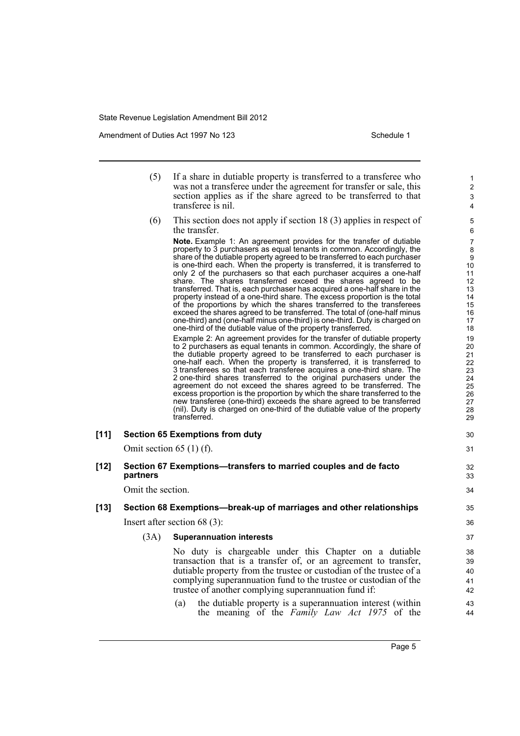Amendment of Duties Act 1997 No 123 Schedule 1

- (5) If a share in dutiable property is transferred to a transferee who was not a transferee under the agreement for transfer or sale, this section applies as if the share agreed to be transferred to that transferee is nil.
- (6) This section does not apply if section 18 (3) applies in respect of the transfer.

**Note.** Example 1: An agreement provides for the transfer of dutiable property to 3 purchasers as equal tenants in common. Accordingly, the share of the dutiable property agreed to be transferred to each purchaser is one-third each. When the property is transferred, it is transferred to only 2 of the purchasers so that each purchaser acquires a one-half share. The shares transferred exceed the shares agreed to be transferred. That is, each purchaser has acquired a one-half share in the property instead of a one-third share. The excess proportion is the total of the proportions by which the shares transferred to the transferees exceed the shares agreed to be transferred. The total of (one-half minus one-third) and (one-half minus one-third) is one-third. Duty is charged on one-third of the dutiable value of the property transferred.

Example 2: An agreement provides for the transfer of dutiable property to 2 purchasers as equal tenants in common. Accordingly, the share of the dutiable property agreed to be transferred to each purchaser is one-half each. When the property is transferred, it is transferred to 3 transferees so that each transferee acquires a one-third share. The 2 one-third shares transferred to the original purchasers under the agreement do not exceed the shares agreed to be transferred. The excess proportion is the proportion by which the share transferred to the new transferee (one-third) exceeds the share agreed to be transferred (nil). Duty is charged on one-third of the dutiable value of the property transferred.

| [11]   |                   | <b>Section 65 Exemptions from duty</b><br>Omit section $65(1)$ (f).                                                                                                                                                                                                                                                                                                                               | 30<br>31                         |
|--------|-------------------|---------------------------------------------------------------------------------------------------------------------------------------------------------------------------------------------------------------------------------------------------------------------------------------------------------------------------------------------------------------------------------------------------|----------------------------------|
| $[12]$ | partners          | Section 67 Exemptions—transfers to married couples and de facto                                                                                                                                                                                                                                                                                                                                   | 32<br>33                         |
|        | Omit the section. |                                                                                                                                                                                                                                                                                                                                                                                                   | 34                               |
| $[13]$ |                   | Section 68 Exemptions—break-up of marriages and other relationships                                                                                                                                                                                                                                                                                                                               | 35                               |
|        |                   | Insert after section $68(3)$ :                                                                                                                                                                                                                                                                                                                                                                    | 36                               |
|        | (3A)              | <b>Superannuation interests</b>                                                                                                                                                                                                                                                                                                                                                                   | 37                               |
|        |                   | No duty is chargeable under this Chapter on a dutiable<br>transaction that is a transfer of, or an agreement to transfer,<br>dutiable property from the trustee or custodian of the trustee of a<br>complying superannuation fund to the trustee or custodian of the<br>trustee of another complying superannuation fund if:<br>the dutiable property is a superannuation interest (within<br>(a) | 38<br>39<br>40<br>41<br>42<br>43 |

(a) the dutiable property is a superannuation interest (within the meaning of the *Family Law Act 1975* of the

44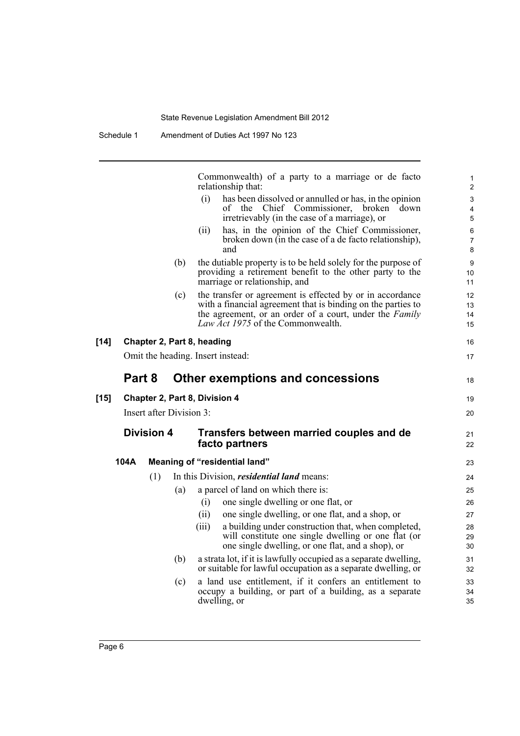Commonwealth) of a party to a marriage or de facto relationship that:

(i) has been dissolved or annulled or has, in the opinion of the Chief Commissioner, broken down irretrievably (in the case of a marriage), or

18

19 20

21 22

- (ii) has, in the opinion of the Chief Commissioner, broken down (in the case of a de facto relationship), and
- (b) the dutiable property is to be held solely for the purpose of providing a retirement benefit to the other party to the marriage or relationship, and
- (c) the transfer or agreement is effected by or in accordance with a financial agreement that is binding on the parties to the agreement, or an order of a court, under the *Family Law Act 1975* of the Commonwealth.

**[14] Chapter 2, Part 8, heading**

Omit the heading. Insert instead:

# **Part 8 Other exemptions and concessions**

#### **[15] Chapter 2, Part 8, Division 4**

Insert after Division 3:

## **Division 4 Transfers between married couples and de facto partners**

# **104A Meaning of "residential land"** (1) In this Division, *residential land* means: (a) a parcel of land on which there is: (i) one single dwelling or one flat, or (ii) one single dwelling, or one flat, and a shop, or (iii) a building under construction that, when completed,

- will constitute one single dwelling or one flat (or one single dwelling, or one flat, and a shop), or
- (b) a strata lot, if it is lawfully occupied as a separate dwelling, or suitable for lawful occupation as a separate dwelling, or
- (c) a land use entitlement, if it confers an entitlement to occupy a building, or part of a building, as a separate dwelling, or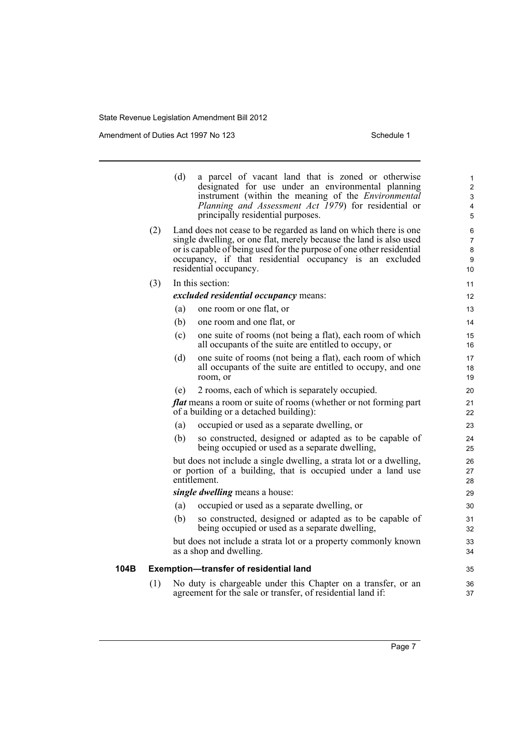Amendment of Duties Act 1997 No 123 Schedule 1

|      |     | (d)<br>a parcel of vacant land that is zoned or otherwise<br>designated for use under an environmental planning<br>instrument (within the meaning of the <i>Environmental</i><br>Planning and Assessment Act 1979) for residential or<br>principally residential purposes.                          | $\mathbf{1}$<br>2<br>3<br>4<br>5          |
|------|-----|-----------------------------------------------------------------------------------------------------------------------------------------------------------------------------------------------------------------------------------------------------------------------------------------------------|-------------------------------------------|
|      | (2) | Land does not cease to be regarded as land on which there is one<br>single dwelling, or one flat, merely because the land is also used<br>or is capable of being used for the purpose of one other residential<br>occupancy, if that residential occupancy is an excluded<br>residential occupancy. | 6<br>$\overline{7}$<br>$\bf 8$<br>9<br>10 |
|      | (3) | In this section:                                                                                                                                                                                                                                                                                    | 11                                        |
|      |     | excluded residential occupancy means:                                                                                                                                                                                                                                                               | 12                                        |
|      |     | (a)<br>one room or one flat, or                                                                                                                                                                                                                                                                     | 13                                        |
|      |     | (b)<br>one room and one flat, or                                                                                                                                                                                                                                                                    | 14                                        |
|      |     | one suite of rooms (not being a flat), each room of which<br>(c)<br>all occupants of the suite are entitled to occupy, or                                                                                                                                                                           | 15<br>16                                  |
|      |     | (d)<br>one suite of rooms (not being a flat), each room of which<br>all occupants of the suite are entitled to occupy, and one<br>room, or                                                                                                                                                          | 17<br>18<br>19                            |
|      |     | (e)<br>2 rooms, each of which is separately occupied.                                                                                                                                                                                                                                               | 20                                        |
|      |     | <b><i>flat</i></b> means a room or suite of rooms (whether or not forming part<br>of a building or a detached building):                                                                                                                                                                            | 21<br>22                                  |
|      |     | (a)<br>occupied or used as a separate dwelling, or                                                                                                                                                                                                                                                  | 23                                        |
|      |     | (b)<br>so constructed, designed or adapted as to be capable of<br>being occupied or used as a separate dwelling,                                                                                                                                                                                    | 24<br>25                                  |
|      |     | but does not include a single dwelling, a strata lot or a dwelling,<br>or portion of a building, that is occupied under a land use<br>entitlement.                                                                                                                                                  | 26<br>27<br>28                            |
|      |     | <i>single dwelling</i> means a house:                                                                                                                                                                                                                                                               | 29                                        |
|      |     | occupied or used as a separate dwelling, or<br>(a)                                                                                                                                                                                                                                                  | 30                                        |
|      |     | (b)<br>so constructed, designed or adapted as to be capable of<br>being occupied or used as a separate dwelling,                                                                                                                                                                                    | 31<br>32                                  |
|      |     | but does not include a strata lot or a property commonly known<br>as a shop and dwelling.                                                                                                                                                                                                           | 33<br>34                                  |
| 104B |     | <b>Exemption-transfer of residential land</b>                                                                                                                                                                                                                                                       | 35                                        |
|      | (1) | No duty is chargeable under this Chapter on a transfer, or an<br>agreement for the sale or transfer, of residential land if:                                                                                                                                                                        | 36<br>37                                  |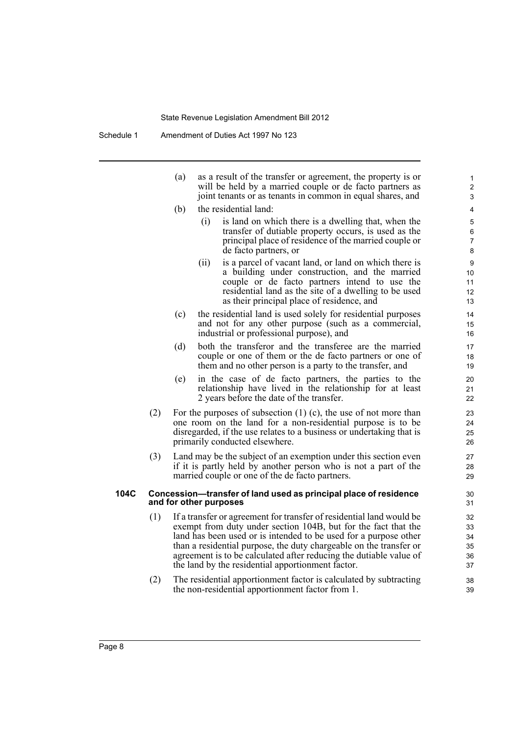| (a) | as a result of the transfer or agreement, the property is or |
|-----|--------------------------------------------------------------|
|     | will be held by a married couple or de facto partners as     |
|     | joint tenants or as tenants in common in equal shares, and   |

- (b) the residential land:
	- (i) is land on which there is a dwelling that, when the transfer of dutiable property occurs, is used as the principal place of residence of the married couple or de facto partners, or

- (ii) is a parcel of vacant land, or land on which there is a building under construction, and the married couple or de facto partners intend to use the residential land as the site of a dwelling to be used as their principal place of residence, and
- (c) the residential land is used solely for residential purposes and not for any other purpose (such as a commercial, industrial or professional purpose), and
- (d) both the transferor and the transferee are the married couple or one of them or the de facto partners or one of them and no other person is a party to the transfer, and
- (e) in the case of de facto partners, the parties to the relationship have lived in the relationship for at least 2 years before the date of the transfer.
- (2) For the purposes of subsection (1) (c), the use of not more than one room on the land for a non-residential purpose is to be disregarded, if the use relates to a business or undertaking that is primarily conducted elsewhere.
- (3) Land may be the subject of an exemption under this section even if it is partly held by another person who is not a part of the married couple or one of the de facto partners.

#### **104C Concession—transfer of land used as principal place of residence and for other purposes**

- (1) If a transfer or agreement for transfer of residential land would be exempt from duty under section 104B, but for the fact that the land has been used or is intended to be used for a purpose other than a residential purpose, the duty chargeable on the transfer or agreement is to be calculated after reducing the dutiable value of the land by the residential apportionment factor.
- (2) The residential apportionment factor is calculated by subtracting the non-residential apportionment factor from 1.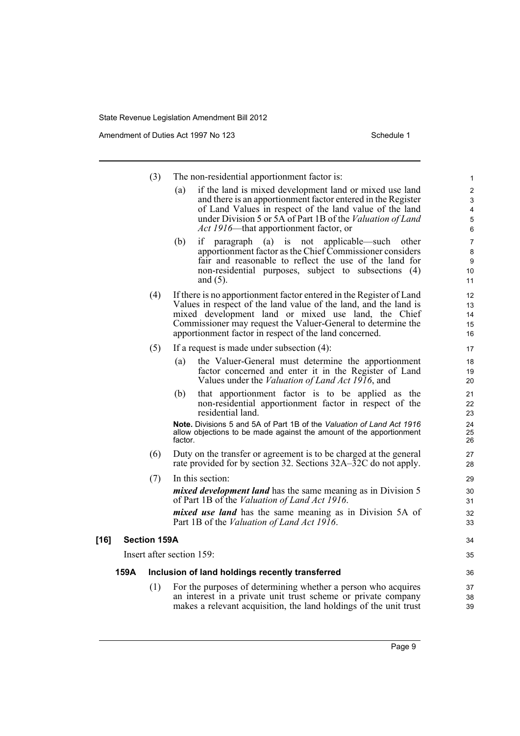Amendment of Duties Act 1997 No 123 Schedule 1

34 35

|        |      | (3)                 | The non-residential apportionment factor is:                                                                                                                                                                                                                                                                             |
|--------|------|---------------------|--------------------------------------------------------------------------------------------------------------------------------------------------------------------------------------------------------------------------------------------------------------------------------------------------------------------------|
|        |      |                     | if the land is mixed development land or mixed use land<br>(a)<br>and there is an apportionment factor entered in the Register<br>of Land Values in respect of the land value of the land<br>under Division 5 or 5A of Part 1B of the Valuation of Land<br>Act 1916—that apportionment factor, or                        |
|        |      |                     | (b)<br>paragraph (a) is not applicable—such other<br>if<br>apportionment factor as the Chief Commissioner considers<br>fair and reasonable to reflect the use of the land for<br>non-residential purposes, subject to subsections (4)<br>and $(5)$ .                                                                     |
|        |      | (4)                 | If there is no apportionment factor entered in the Register of Land<br>Values in respect of the land value of the land, and the land is<br>mixed development land or mixed use land, the Chief<br>Commissioner may request the Valuer-General to determine the<br>apportionment factor in respect of the land concerned. |
|        |      | (5)                 | If a request is made under subsection $(4)$ :                                                                                                                                                                                                                                                                            |
|        |      |                     | (a)<br>the Valuer-General must determine the apportionment<br>factor concerned and enter it in the Register of Land<br>Values under the <i>Valuation of Land Act 1916</i> , and                                                                                                                                          |
|        |      |                     | that apportionment factor is to be applied as the<br>(b)<br>non-residential apportionment factor in respect of the<br>residential land.                                                                                                                                                                                  |
|        |      |                     | Note. Divisions 5 and 5A of Part 1B of the Valuation of Land Act 1916<br>allow objections to be made against the amount of the apportionment<br>factor.                                                                                                                                                                  |
|        |      | (6)                 | Duty on the transfer or agreement is to be charged at the general<br>rate provided for by section 32. Sections 32A–32C do not apply.                                                                                                                                                                                     |
|        |      | (7)                 | In this section:                                                                                                                                                                                                                                                                                                         |
|        |      |                     | <i>mixed development land</i> has the same meaning as in Division 5<br>of Part 1B of the Valuation of Land Act 1916.                                                                                                                                                                                                     |
|        |      |                     | <i>mixed use land</i> has the same meaning as in Division 5A of<br>Part 1B of the Valuation of Land Act 1916.                                                                                                                                                                                                            |
| $[16]$ |      | <b>Section 159A</b> |                                                                                                                                                                                                                                                                                                                          |
|        |      |                     | Insert after section 159:                                                                                                                                                                                                                                                                                                |
|        | 159A |                     | Inclusion of land holdings recently transferred                                                                                                                                                                                                                                                                          |
|        |      | (1)                 | For the purposes of determining whether a person who acquires<br>an interest in a private unit trust scheme or private company                                                                                                                                                                                           |

makes a relevant acquisition, the land holdings of the unit trust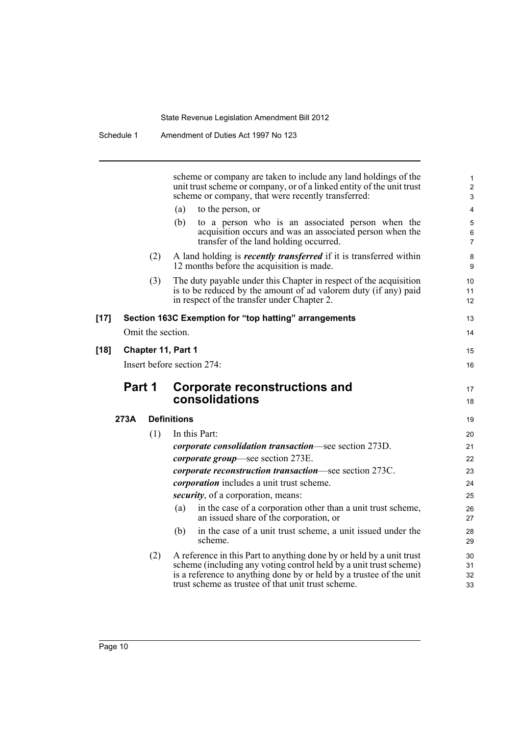|        |        |                   | scheme or company are taken to include any land holdings of the<br>unit trust scheme or company, or of a linked entity of the unit trust<br>scheme or company, that were recently transferred:                                                                         | 1<br>$\overline{c}$<br>$\mathbf{3}$ |
|--------|--------|-------------------|------------------------------------------------------------------------------------------------------------------------------------------------------------------------------------------------------------------------------------------------------------------------|-------------------------------------|
|        |        |                   | (a)<br>to the person, or                                                                                                                                                                                                                                               | 4                                   |
|        |        |                   | (b)<br>to a person who is an associated person when the<br>acquisition occurs and was an associated person when the<br>transfer of the land holding occurred.                                                                                                          | 5<br>6<br>$\overline{7}$            |
|        |        | (2)               | A land holding is <i>recently transferred</i> if it is transferred within<br>12 months before the acquisition is made.                                                                                                                                                 | 8<br>9                              |
|        |        | (3)               | The duty payable under this Chapter in respect of the acquisition<br>is to be reduced by the amount of ad valorem duty (if any) paid<br>in respect of the transfer under Chapter 2.                                                                                    | 10<br>11<br>$12 \overline{ }$       |
| $[17]$ |        |                   | Section 163C Exemption for "top hatting" arrangements                                                                                                                                                                                                                  | 13                                  |
|        |        | Omit the section. |                                                                                                                                                                                                                                                                        | 14                                  |
| [18]   |        |                   | Chapter 11, Part 1                                                                                                                                                                                                                                                     | 15                                  |
|        |        |                   |                                                                                                                                                                                                                                                                        |                                     |
|        |        |                   | Insert before section 274:                                                                                                                                                                                                                                             | 16                                  |
|        |        |                   |                                                                                                                                                                                                                                                                        |                                     |
|        | Part 1 |                   | Corporate reconstructions and<br>consolidations                                                                                                                                                                                                                        | 17<br>18                            |
|        | 273A   |                   | <b>Definitions</b>                                                                                                                                                                                                                                                     | 19                                  |
|        |        |                   | In this Part:                                                                                                                                                                                                                                                          | 20                                  |
|        |        | (1)               | <i>corporate consolidation transaction—see section 273D.</i>                                                                                                                                                                                                           | 21                                  |
|        |        |                   | <i>corporate group</i> —see section 273E.                                                                                                                                                                                                                              | 22                                  |
|        |        |                   | <i>corporate reconstruction transaction</i> —see section 273C.                                                                                                                                                                                                         | 23                                  |
|        |        |                   | <i>corporation</i> includes a unit trust scheme.                                                                                                                                                                                                                       | 24                                  |
|        |        |                   | <i>security</i> , of a corporation, means:                                                                                                                                                                                                                             | 25                                  |
|        |        |                   | in the case of a corporation other than a unit trust scheme,<br>(a)<br>an issued share of the corporation, or                                                                                                                                                          | 26<br>27                            |
|        |        |                   | in the case of a unit trust scheme, a unit issued under the<br>(b)<br>scheme.                                                                                                                                                                                          | 28<br>29                            |
|        |        | (2)               | A reference in this Part to anything done by or held by a unit trust<br>scheme (including any voting control held by a unit trust scheme)<br>is a reference to anything done by or held by a trustee of the unit<br>trust scheme as trustee of that unit trust scheme. | 30<br>31<br>32<br>33                |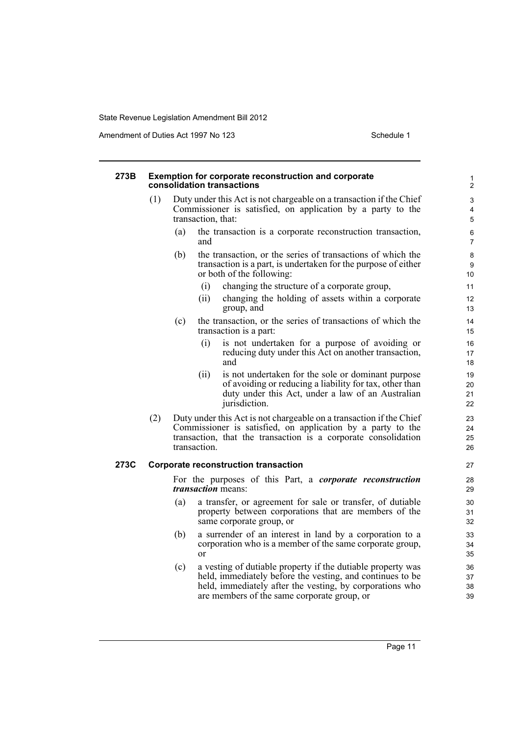Amendment of Duties Act 1997 No 123 Schedule 1

#### **273B Exemption for corporate reconstruction and corporate consolidation transactions** (1) Duty under this Act is not chargeable on a transaction if the Chief Commissioner is satisfied, on application by a party to the transaction, that: (a) the transaction is a corporate reconstruction transaction, and (b) the transaction, or the series of transactions of which the transaction is a part, is undertaken for the purpose of either or both of the following: (i) changing the structure of a corporate group, (ii) changing the holding of assets within a corporate group, and (c) the transaction, or the series of transactions of which the transaction is a part: (i) is not undertaken for a purpose of avoiding or reducing duty under this Act on another transaction, and (ii) is not undertaken for the sole or dominant purpose of avoiding or reducing a liability for tax, other than duty under this Act, under a law of an Australian jurisdiction. (2) Duty under this Act is not chargeable on a transaction if the Chief Commissioner is satisfied, on application by a party to the transaction, that the transaction is a corporate consolidation transaction. **273C Corporate reconstruction transaction** For the purposes of this Part, a *corporate reconstruction transaction* means: (a) a transfer, or agreement for sale or transfer, of dutiable property between corporations that are members of the same corporate group, or (b) a surrender of an interest in land by a corporation to a corporation who is a member of the same corporate group, or (c) a vesting of dutiable property if the dutiable property was held, immediately before the vesting, and continues to be held, immediately after the vesting, by corporations who are members of the same corporate group, or 1  $\overline{2}$ 3 4 5 6 7 8 9 10 11 12 13 14 15 16 17 18 19 20 21 22  $23$  $24$ 25  $26$ 27 28 29 30 31 32 33 34 35 36 37 38 39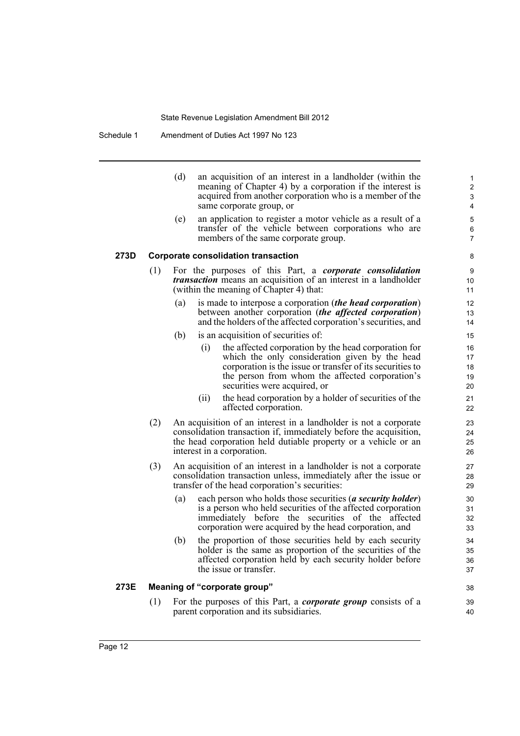Schedule 1 Amendment of Duties Act 1997 No 123

| (d) | an acquisition of an interest in a landholder (within the |
|-----|-----------------------------------------------------------|
|     | meaning of Chapter 4) by a corporation if the interest is |
|     | acquired from another corporation who is a member of the  |
|     | same corporate group, or                                  |

38 39 40

(e) an application to register a motor vehicle as a result of a transfer of the vehicle between corporations who are members of the same corporate group.

#### **273D Corporate consolidation transaction**

- (1) For the purposes of this Part, a *corporate consolidation transaction* means an acquisition of an interest in a landholder (within the meaning of Chapter 4) that:
	- (a) is made to interpose a corporation (*the head corporation*) between another corporation (*the affected corporation*) and the holders of the affected corporation's securities, and
	- (b) is an acquisition of securities of:
		- (i) the affected corporation by the head corporation for which the only consideration given by the head corporation is the issue or transfer of its securities to the person from whom the affected corporation's securities were acquired, or
		- (ii) the head corporation by a holder of securities of the affected corporation.
- (2) An acquisition of an interest in a landholder is not a corporate consolidation transaction if, immediately before the acquisition, the head corporation held dutiable property or a vehicle or an interest in a corporation.
- (3) An acquisition of an interest in a landholder is not a corporate consolidation transaction unless, immediately after the issue or transfer of the head corporation's securities:
	- (a) each person who holds those securities (*a security holder*) is a person who held securities of the affected corporation immediately before the securities of the affected corporation were acquired by the head corporation, and
	- (b) the proportion of those securities held by each security holder is the same as proportion of the securities of the affected corporation held by each security holder before the issue or transfer.

#### **273E Meaning of "corporate group"**

(1) For the purposes of this Part, a *corporate group* consists of a parent corporation and its subsidiaries.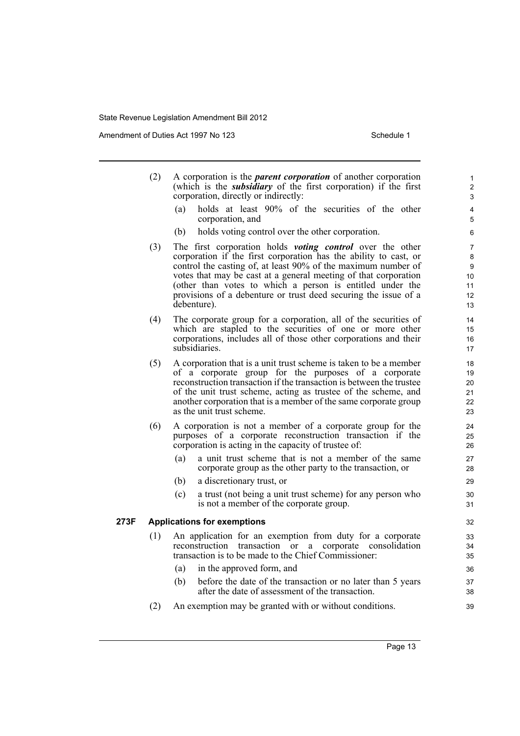Amendment of Duties Act 1997 No 123 Schedule 1

|      | (2) | A corporation is the <i>parent corporation</i> of another corporation<br>(which is the <i>subsidiary</i> of the first corporation) if the first<br>corporation, directly or indirectly:                                                                                                                                                                                                                                 | 1<br>$\overline{2}$<br>3            |
|------|-----|-------------------------------------------------------------------------------------------------------------------------------------------------------------------------------------------------------------------------------------------------------------------------------------------------------------------------------------------------------------------------------------------------------------------------|-------------------------------------|
|      |     | holds at least 90% of the securities of the other<br>(a)<br>corporation, and                                                                                                                                                                                                                                                                                                                                            | 4<br>5                              |
|      |     | (b)<br>holds voting control over the other corporation.                                                                                                                                                                                                                                                                                                                                                                 | 6                                   |
|      | (3) | The first corporation holds <i>voting control</i> over the other<br>corporation if the first corporation has the ability to cast, or<br>control the casting of, at least 90% of the maximum number of<br>votes that may be cast at a general meeting of that corporation<br>(other than votes to which a person is entitled under the<br>provisions of a debenture or trust deed securing the issue of a<br>debenture). | 7<br>8<br>9<br>10<br>11<br>12<br>13 |
|      | (4) | The corporate group for a corporation, all of the securities of<br>which are stapled to the securities of one or more other<br>corporations, includes all of those other corporations and their<br>subsidiaries.                                                                                                                                                                                                        | 14<br>15<br>16<br>17                |
|      | (5) | A corporation that is a unit trust scheme is taken to be a member<br>of a corporate group for the purposes of a corporate<br>reconstruction transaction if the transaction is between the trustee<br>of the unit trust scheme, acting as trustee of the scheme, and<br>another corporation that is a member of the same corporate group<br>as the unit trust scheme.                                                    | 18<br>19<br>20<br>21<br>22<br>23    |
|      | (6) | A corporation is not a member of a corporate group for the<br>purposes of a corporate reconstruction transaction if the<br>corporation is acting in the capacity of trustee of:                                                                                                                                                                                                                                         | 24<br>25<br>26                      |
|      |     | a unit trust scheme that is not a member of the same<br>(a)<br>corporate group as the other party to the transaction, or<br>(b)<br>a discretionary trust, or<br>(c)<br>a trust (not being a unit trust scheme) for any person who<br>is not a member of the corporate group.                                                                                                                                            | 27<br>28<br>29<br>30<br>31          |
| 273F |     | <b>Applications for exemptions</b>                                                                                                                                                                                                                                                                                                                                                                                      | 32                                  |
|      | (1) | An application for an exemption from duty for a corporate<br>transaction or<br>reconstruction<br>corporate<br>consolidation<br>a<br>transaction is to be made to the Chief Commissioner:<br>in the approved form, and<br>(a)                                                                                                                                                                                            | 33<br>34<br>35<br>36                |
|      |     | before the date of the transaction or no later than 5 years<br>(b)<br>after the date of assessment of the transaction.                                                                                                                                                                                                                                                                                                  | 37<br>38                            |
|      | (2) | An exemption may be granted with or without conditions.                                                                                                                                                                                                                                                                                                                                                                 | 39                                  |
|      |     |                                                                                                                                                                                                                                                                                                                                                                                                                         |                                     |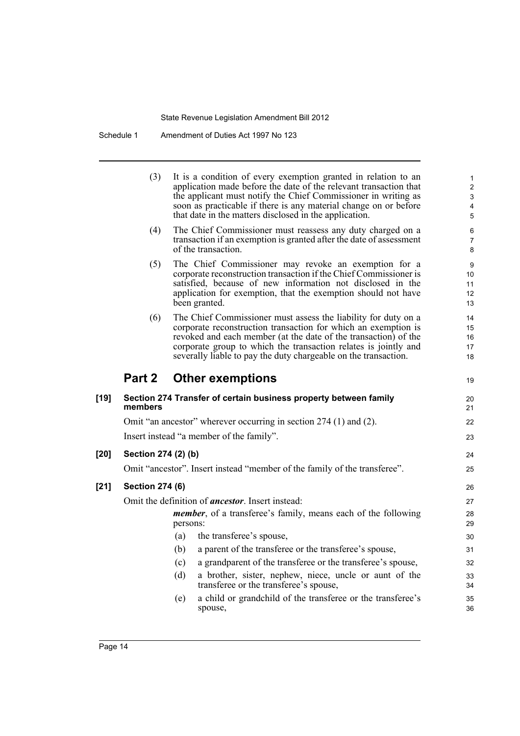Schedule 1 Amendment of Duties Act 1997 No 123

 $\overline{\phantom{0}}$ 

|        | (3)                    | It is a condition of every exemption granted in relation to an<br>application made before the date of the relevant transaction that<br>the applicant must notify the Chief Commissioner in writing as<br>soon as practicable if there is any material change on or before<br>that date in the matters disclosed in the application.       | 1<br>$\overline{c}$<br>3<br>4<br>5 |
|--------|------------------------|-------------------------------------------------------------------------------------------------------------------------------------------------------------------------------------------------------------------------------------------------------------------------------------------------------------------------------------------|------------------------------------|
|        | (4)                    | The Chief Commissioner must reassess any duty charged on a<br>transaction if an exemption is granted after the date of assessment<br>of the transaction.                                                                                                                                                                                  | 6<br>7<br>8                        |
|        | (5)                    | The Chief Commissioner may revoke an exemption for a<br>corporate reconstruction transaction if the Chief Commissioner is<br>satisfied, because of new information not disclosed in the<br>application for exemption, that the exemption should not have<br>been granted.                                                                 | 9<br>10<br>11<br>12<br>13          |
|        | (6)                    | The Chief Commissioner must assess the liability for duty on a<br>corporate reconstruction transaction for which an exemption is<br>revoked and each member (at the date of the transaction) of the<br>corporate group to which the transaction relates is jointly and<br>severally liable to pay the duty chargeable on the transaction. | 14<br>15<br>16<br>17<br>18         |
|        |                        | Part 2 Other exemptions                                                                                                                                                                                                                                                                                                                   | 19                                 |
| $[19]$ | members                | Section 274 Transfer of certain business property between family                                                                                                                                                                                                                                                                          | 20<br>21                           |
|        |                        | Omit "an ancestor" wherever occurring in section 274 (1) and (2).                                                                                                                                                                                                                                                                         | 22                                 |
|        |                        | Insert instead "a member of the family".                                                                                                                                                                                                                                                                                                  | 23                                 |
| $[20]$ | Section 274 (2) (b)    |                                                                                                                                                                                                                                                                                                                                           | 24                                 |
|        |                        | Omit "ancestor". Insert instead "member of the family of the transferee".                                                                                                                                                                                                                                                                 | 25                                 |
| $[21]$ | <b>Section 274 (6)</b> |                                                                                                                                                                                                                                                                                                                                           | 26                                 |
|        |                        | Omit the definition of <i>ancestor</i> . Insert instead:                                                                                                                                                                                                                                                                                  | 27                                 |
|        |                        | <i>member</i> , of a transferee's family, means each of the following<br>persons:                                                                                                                                                                                                                                                         | 28<br>29                           |
|        |                        | the transferee's spouse,<br>(a)                                                                                                                                                                                                                                                                                                           | 30                                 |
|        |                        | (b)<br>a parent of the transferee or the transferee's spouse,                                                                                                                                                                                                                                                                             | 31                                 |
|        |                        | a grandparent of the transferee or the transferee's spouse,<br>(c)                                                                                                                                                                                                                                                                        | 32                                 |
|        |                        | a brother, sister, nephew, niece, uncle or aunt of the<br>(d)<br>transferee or the transferee's spouse,                                                                                                                                                                                                                                   | 33<br>34                           |
|        |                        | a child or grandchild of the transferee or the transferee's<br>(e)<br>spouse,                                                                                                                                                                                                                                                             | 35<br>36                           |
|        |                        |                                                                                                                                                                                                                                                                                                                                           |                                    |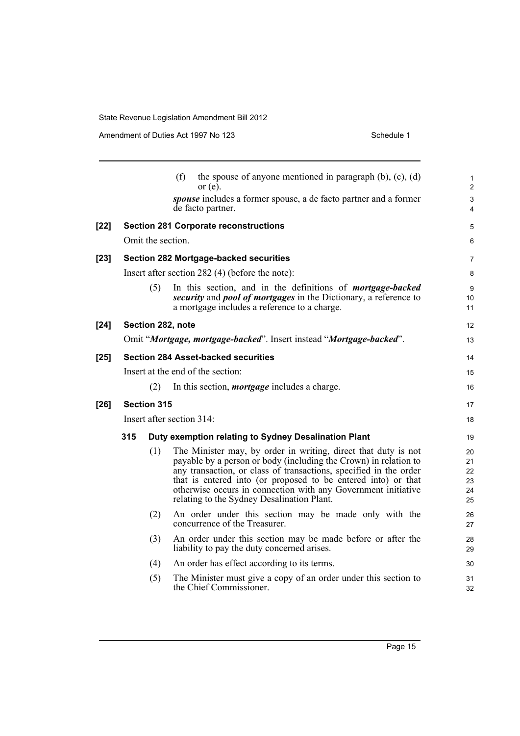|        |                                                                     |                                                      | (f)<br>the spouse of anyone mentioned in paragraph $(b)$ , $(c)$ , $(d)$<br>or $(e)$ .                                                                                                                                                                                                                                                                                                  | $\mathbf{1}$<br>$\overline{a}$   |
|--------|---------------------------------------------------------------------|------------------------------------------------------|-----------------------------------------------------------------------------------------------------------------------------------------------------------------------------------------------------------------------------------------------------------------------------------------------------------------------------------------------------------------------------------------|----------------------------------|
|        |                                                                     |                                                      | spouse includes a former spouse, a de facto partner and a former<br>de facto partner.                                                                                                                                                                                                                                                                                                   | 3<br>4                           |
| $[22]$ | <b>Section 281 Corporate reconstructions</b>                        |                                                      |                                                                                                                                                                                                                                                                                                                                                                                         | 5                                |
|        | Omit the section.                                                   |                                                      |                                                                                                                                                                                                                                                                                                                                                                                         |                                  |
| $[23]$ | Section 282 Mortgage-backed securities                              |                                                      |                                                                                                                                                                                                                                                                                                                                                                                         |                                  |
|        | Insert after section $282(4)$ (before the note):                    |                                                      |                                                                                                                                                                                                                                                                                                                                                                                         |                                  |
|        |                                                                     | (5)                                                  | In this section, and in the definitions of <i>mortgage-backed</i><br>security and pool of mortgages in the Dictionary, a reference to<br>a mortgage includes a reference to a charge.                                                                                                                                                                                                   | 9<br>10 <sup>°</sup><br>11       |
| $[24]$ | Section 282, note                                                   |                                                      |                                                                                                                                                                                                                                                                                                                                                                                         | 12                               |
|        | Omit "Mortgage, mortgage-backed". Insert instead "Mortgage-backed". |                                                      |                                                                                                                                                                                                                                                                                                                                                                                         |                                  |
| $[25]$ | <b>Section 284 Asset-backed securities</b>                          |                                                      |                                                                                                                                                                                                                                                                                                                                                                                         | 14                               |
|        | Insert at the end of the section:                                   |                                                      |                                                                                                                                                                                                                                                                                                                                                                                         | 15                               |
|        |                                                                     | (2)                                                  | In this section, <i>mortgage</i> includes a charge.                                                                                                                                                                                                                                                                                                                                     | 16                               |
| $[26]$ | <b>Section 315</b>                                                  |                                                      |                                                                                                                                                                                                                                                                                                                                                                                         | 17                               |
|        | Insert after section 314:                                           |                                                      |                                                                                                                                                                                                                                                                                                                                                                                         | 18                               |
|        | 315                                                                 | Duty exemption relating to Sydney Desalination Plant |                                                                                                                                                                                                                                                                                                                                                                                         | 19                               |
|        |                                                                     | (1)                                                  | The Minister may, by order in writing, direct that duty is not<br>payable by a person or body (including the Crown) in relation to<br>any transaction, or class of transactions, specified in the order<br>that is entered into (or proposed to be entered into) or that<br>otherwise occurs in connection with any Government initiative<br>relating to the Sydney Desalination Plant. | 20<br>21<br>22<br>23<br>24<br>25 |
|        |                                                                     | (2)                                                  | An order under this section may be made only with the<br>concurrence of the Treasurer.                                                                                                                                                                                                                                                                                                  | 26<br>27                         |
|        |                                                                     | (3)                                                  | An order under this section may be made before or after the<br>liability to pay the duty concerned arises.                                                                                                                                                                                                                                                                              | 28<br>29                         |
|        |                                                                     | (4)                                                  | An order has effect according to its terms.                                                                                                                                                                                                                                                                                                                                             | 30                               |
|        |                                                                     | (5)                                                  | The Minister must give a copy of an order under this section to<br>the Chief Commissioner.                                                                                                                                                                                                                                                                                              | 31<br>32                         |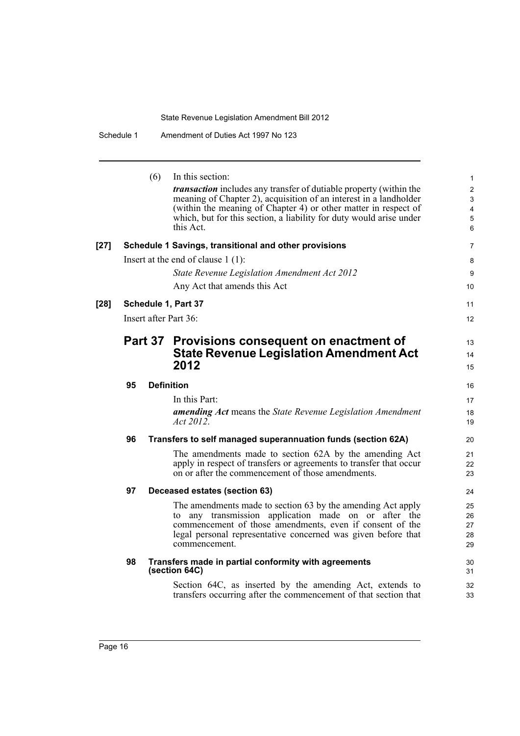|        |    | (6) | In this section:<br>transaction includes any transfer of dutiable property (within the<br>meaning of Chapter 2), acquisition of an interest in a landholder<br>(within the meaning of Chapter 4) or other matter in respect of<br>which, but for this section, a liability for duty would arise under<br>this Act. | 1<br>$\overline{\mathbf{c}}$<br>3<br>4<br>5<br>6 |
|--------|----|-----|--------------------------------------------------------------------------------------------------------------------------------------------------------------------------------------------------------------------------------------------------------------------------------------------------------------------|--------------------------------------------------|
| $[27]$ |    |     | Schedule 1 Savings, transitional and other provisions                                                                                                                                                                                                                                                              | 7                                                |
|        |    |     | Insert at the end of clause $1(1)$ :                                                                                                                                                                                                                                                                               | 8                                                |
|        |    |     | State Revenue Legislation Amendment Act 2012                                                                                                                                                                                                                                                                       | 9                                                |
|        |    |     | Any Act that amends this Act                                                                                                                                                                                                                                                                                       | 10                                               |
| [28]   |    |     | Schedule 1, Part 37                                                                                                                                                                                                                                                                                                | 11                                               |
|        |    |     | Insert after Part 36:                                                                                                                                                                                                                                                                                              | 12                                               |
|        |    |     | Part 37 Provisions consequent on enactment of<br><b>State Revenue Legislation Amendment Act</b><br>2012                                                                                                                                                                                                            | 13<br>14<br>15                                   |
|        | 95 |     | <b>Definition</b>                                                                                                                                                                                                                                                                                                  | 16                                               |
|        |    |     | In this Part:<br><b>amending Act</b> means the State Revenue Legislation Amendment<br>Act 2012.                                                                                                                                                                                                                    | 17<br>18<br>19                                   |
|        | 96 |     | Transfers to self managed superannuation funds (section 62A)                                                                                                                                                                                                                                                       | 20                                               |
|        |    |     | The amendments made to section 62A by the amending Act<br>apply in respect of transfers or agreements to transfer that occur<br>on or after the commencement of those amendments.                                                                                                                                  | 21<br>22<br>23                                   |
|        | 97 |     | Deceased estates (section 63)                                                                                                                                                                                                                                                                                      | 24                                               |
|        |    |     | The amendments made to section 63 by the amending Act apply<br>to any transmission application made on or after the<br>commencement of those amendments, even if consent of the<br>legal personal representative concerned was given before that<br>commencement.                                                  | 25<br>26<br>27<br>28<br>29                       |
|        | 98 |     | Transfers made in partial conformity with agreements<br>(section 64C)                                                                                                                                                                                                                                              | 30<br>31                                         |
|        |    |     | Section 64C, as inserted by the amending Act, extends to<br>transfers occurring after the commencement of that section that                                                                                                                                                                                        | 32<br>33                                         |
|        |    |     |                                                                                                                                                                                                                                                                                                                    |                                                  |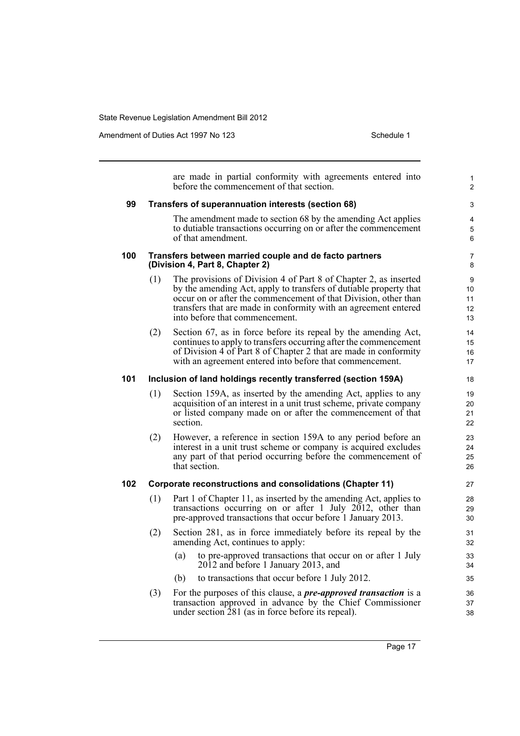Amendment of Duties Act 1997 No 123 Schedule 1

1  $\overline{2}$ 

are made in partial conformity with agreements entered into before the commencement of that section. **99 Transfers of superannuation interests (section 68)** The amendment made to section 68 by the amending Act applies to dutiable transactions occurring on or after the commencement of that amendment. **100 Transfers between married couple and de facto partners (Division 4, Part 8, Chapter 2)** (1) The provisions of Division 4 of Part 8 of Chapter 2, as inserted by the amending Act, apply to transfers of dutiable property that occur on or after the commencement of that Division, other than transfers that are made in conformity with an agreement entered into before that commencement. (2) Section 67, as in force before its repeal by the amending Act, continues to apply to transfers occurring after the commencement of Division 4 of Part 8 of Chapter 2 that are made in conformity with an agreement entered into before that commencement. **101 Inclusion of land holdings recently transferred (section 159A)** (1) Section 159A, as inserted by the amending Act, applies to any acquisition of an interest in a unit trust scheme, private company or listed company made on or after the commencement of that section. (2) However, a reference in section 159A to any period before an interest in a unit trust scheme or company is acquired excludes any part of that period occurring before the commencement of that section. **102 Corporate reconstructions and consolidations (Chapter 11)** (1) Part 1 of Chapter 11, as inserted by the amending Act, applies to transactions occurring on or after 1 July 2012, other than pre-approved transactions that occur before 1 January 2013. (2) Section 281, as in force immediately before its repeal by the amending Act, continues to apply: (a) to pre-approved transactions that occur on or after 1 July 2012 and before 1 January 2013, and (b) to transactions that occur before 1 July 2012. (3) For the purposes of this clause, a *pre-approved transaction* is a transaction approved in advance by the Chief Commissioner under section 281 (as in force before its repeal). 3 4 5 6 7 8 9 10 11 12 13 14 15 16 17 18 19  $20$ 21 22 23  $24$ 25 26 27 28 29 30 31 32 33 34 35 36 37 38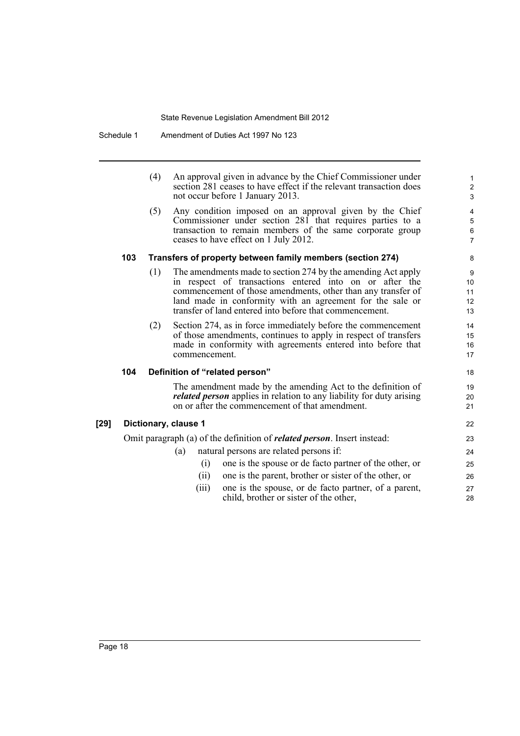Schedule 1 Amendment of Duties Act 1997 No 123

|        |                      | (4) | An approval given in advance by the Chief Commissioner under<br>section 281 ceases to have effect if the relevant transaction does<br>not occur before 1 January 2013.                                                                                                                                          | $\mathbf{1}$<br>$\boldsymbol{2}$<br>$\mathfrak{S}$ |
|--------|----------------------|-----|-----------------------------------------------------------------------------------------------------------------------------------------------------------------------------------------------------------------------------------------------------------------------------------------------------------------|----------------------------------------------------|
|        |                      | (5) | Any condition imposed on an approval given by the Chief<br>Commissioner under section 281 that requires parties to a<br>transaction to remain members of the same corporate group<br>ceases to have effect on 1 July 2012.                                                                                      | 4<br>$\mathbf 5$<br>$\,6\,$<br>$\overline{7}$      |
|        | 103                  |     | Transfers of property between family members (section 274)                                                                                                                                                                                                                                                      | 8                                                  |
|        |                      | (1) | The amendments made to section 274 by the amending Act apply<br>in respect of transactions entered into on or after the<br>commencement of those amendments, other than any transfer of<br>land made in conformity with an agreement for the sale or<br>transfer of land entered into before that commencement. | 9<br>10<br>11<br>12<br>13                          |
|        |                      | (2) | Section 274, as in force immediately before the commencement<br>of those amendments, continues to apply in respect of transfers<br>made in conformity with agreements entered into before that<br>commencement.                                                                                                 | 14<br>15<br>16<br>17                               |
|        | 104                  |     | Definition of "related person"                                                                                                                                                                                                                                                                                  | 18                                                 |
|        |                      |     | The amendment made by the amending Act to the definition of<br><i>related person</i> applies in relation to any liability for duty arising<br>on or after the commencement of that amendment.                                                                                                                   | 19<br>20<br>21                                     |
| $[29]$ | Dictionary, clause 1 |     |                                                                                                                                                                                                                                                                                                                 |                                                    |
|        |                      |     | Omit paragraph (a) of the definition of <i>related person</i> . Insert instead:                                                                                                                                                                                                                                 | 23                                                 |
|        |                      |     | natural persons are related persons if:<br>(a)                                                                                                                                                                                                                                                                  | 24                                                 |
|        |                      |     | one is the spouse or de facto partner of the other, or<br>(i)                                                                                                                                                                                                                                                   | 25                                                 |
|        |                      |     | one is the parent, brother or sister of the other, or<br>(ii)                                                                                                                                                                                                                                                   | 26                                                 |
|        |                      |     | one is the spouse, or de facto partner, of a parent,<br>(iii)<br>child, brother or sister of the other,                                                                                                                                                                                                         | 27<br>28                                           |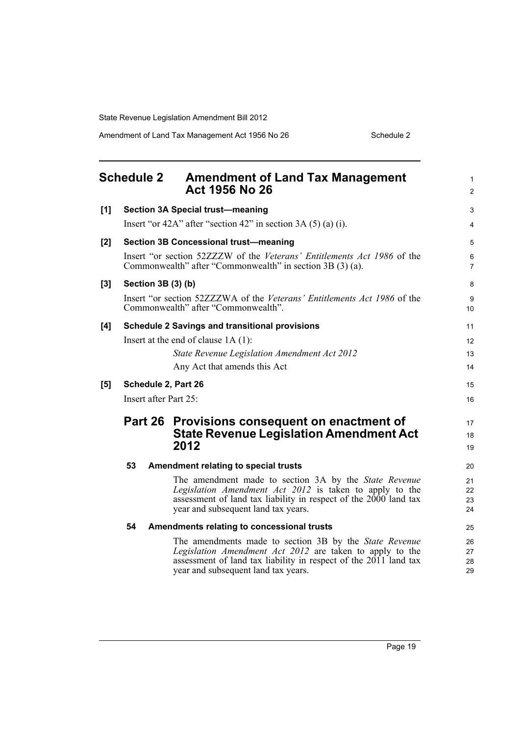<span id="page-26-0"></span>

|     | <b>Schedule 2</b>                                                                                               | <b>Amendment of Land Tax Management</b><br>Act 1956 No 26                                                                            | 1<br>$\overline{2}$ |  |  |
|-----|-----------------------------------------------------------------------------------------------------------------|--------------------------------------------------------------------------------------------------------------------------------------|---------------------|--|--|
| [1] |                                                                                                                 | <b>Section 3A Special trust-meaning</b>                                                                                              | 3                   |  |  |
|     |                                                                                                                 | Insert "or 42A" after "section 42" in section 3A $(5)$ (a) (i).                                                                      | 4                   |  |  |
| [2] |                                                                                                                 | <b>Section 3B Concessional trust-meaning</b>                                                                                         | 5                   |  |  |
|     |                                                                                                                 | Insert "or section 52ZZZW of the Veterans' Entitlements Act 1986 of the<br>Commonwealth" after "Commonwealth" in section 3B (3) (a). | 6<br>7              |  |  |
| [3] | Section 3B (3) (b)                                                                                              |                                                                                                                                      |                     |  |  |
|     | Insert "or section 52ZZZWA of the Veterans' Entitlements Act 1986 of the<br>Commonwealth" after "Commonwealth". |                                                                                                                                      |                     |  |  |
| [4] | <b>Schedule 2 Savings and transitional provisions</b>                                                           |                                                                                                                                      |                     |  |  |
|     | Insert at the end of clause $1A(1)$ :                                                                           |                                                                                                                                      |                     |  |  |
|     |                                                                                                                 | State Revenue Legislation Amendment Act 2012                                                                                         | 13                  |  |  |
|     |                                                                                                                 | Any Act that amends this Act                                                                                                         | 14                  |  |  |
| [5] | Schedule 2, Part 26                                                                                             |                                                                                                                                      |                     |  |  |
|     | Insert after Part 25:                                                                                           |                                                                                                                                      |                     |  |  |
|     |                                                                                                                 | Part 26 Provisions consequent on enactment of                                                                                        | 17                  |  |  |
|     |                                                                                                                 | <b>State Revenue Legislation Amendment Act</b>                                                                                       |                     |  |  |
|     |                                                                                                                 | 2012                                                                                                                                 | 19                  |  |  |
|     | 53                                                                                                              | Amendment relating to special trusts                                                                                                 | 20                  |  |  |
|     |                                                                                                                 | The amendment made to section 3A by the State Revenue                                                                                | 21                  |  |  |
|     |                                                                                                                 | Legislation Amendment Act 2012 is taken to apply to the<br>assessment of land tax liability in respect of the $2000$ land tax        | 22<br>23            |  |  |
|     |                                                                                                                 | year and subsequent land tax years.                                                                                                  | 24                  |  |  |
|     | 54                                                                                                              | Amendments relating to concessional trusts                                                                                           | 25                  |  |  |
|     |                                                                                                                 | The amendments made to section 3B by the State Revenue                                                                               | 26                  |  |  |
|     |                                                                                                                 | Legislation Amendment Act 2012 are taken to apply to the<br>assessment of land tax liability in respect of the $2011$ land tax       | 27<br>28            |  |  |
|     |                                                                                                                 | year and subsequent land tax years.                                                                                                  | 29                  |  |  |
|     |                                                                                                                 |                                                                                                                                      |                     |  |  |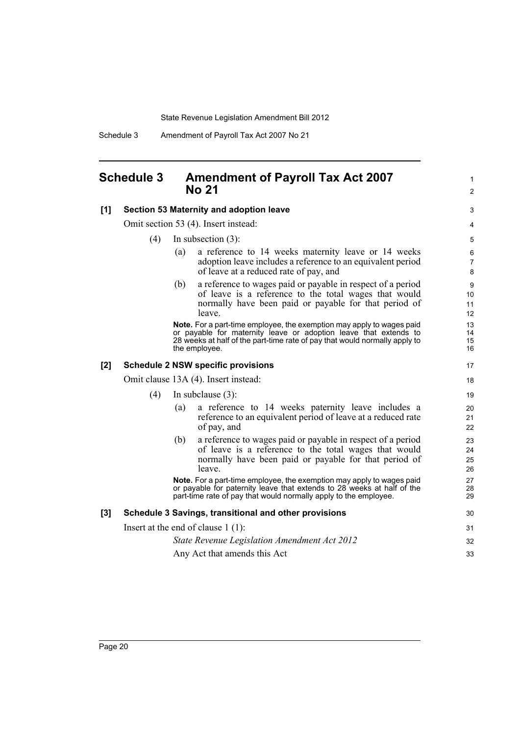Schedule 3 Amendment of Payroll Tax Act 2007 No 21

# <span id="page-27-0"></span>**Schedule 3 Amendment of Payroll Tax Act 2007 No 21**

| [1] | Section 53 Maternity and adoption leave               |                                                                                                                                                                                                                                          |                          |  |  |
|-----|-------------------------------------------------------|------------------------------------------------------------------------------------------------------------------------------------------------------------------------------------------------------------------------------------------|--------------------------|--|--|
|     | Omit section 53 (4). Insert instead:                  |                                                                                                                                                                                                                                          |                          |  |  |
|     | (4)                                                   | In subsection $(3)$ :                                                                                                                                                                                                                    | 5                        |  |  |
|     |                                                       | a reference to 14 weeks maternity leave or 14 weeks<br>(a)<br>adoption leave includes a reference to an equivalent period<br>of leave at a reduced rate of pay, and                                                                      | 6<br>$\overline{7}$<br>8 |  |  |
|     |                                                       | a reference to wages paid or payable in respect of a period<br>(b)<br>of leave is a reference to the total wages that would<br>normally have been paid or payable for that period of<br>leave.                                           | 9<br>10<br>11<br>12      |  |  |
|     |                                                       | Note. For a part-time employee, the exemption may apply to wages paid<br>or payable for maternity leave or adoption leave that extends to<br>28 weeks at half of the part-time rate of pay that would normally apply to<br>the employee. | 13<br>14<br>15<br>16     |  |  |
| [2] | <b>Schedule 2 NSW specific provisions</b>             |                                                                                                                                                                                                                                          |                          |  |  |
|     | Omit clause 13A (4). Insert instead:                  |                                                                                                                                                                                                                                          |                          |  |  |
|     | (4)                                                   | In subclause $(3)$ :                                                                                                                                                                                                                     | 19                       |  |  |
|     |                                                       | a reference to 14 weeks paternity leave includes a<br>(a)<br>reference to an equivalent period of leave at a reduced rate<br>of pay, and                                                                                                 | 20<br>21<br>22           |  |  |
|     |                                                       | (b)<br>a reference to wages paid or payable in respect of a period<br>of leave is a reference to the total wages that would<br>normally have been paid or payable for that period of<br>leave.                                           | 23<br>24<br>25<br>26     |  |  |
|     |                                                       | Note. For a part-time employee, the exemption may apply to wages paid<br>or payable for paternity leave that extends to 28 weeks at half of the<br>part-time rate of pay that would normally apply to the employee.                      | 27<br>28<br>29           |  |  |
| [3] | Schedule 3 Savings, transitional and other provisions |                                                                                                                                                                                                                                          |                          |  |  |
|     | Insert at the end of clause $1(1)$ :                  |                                                                                                                                                                                                                                          |                          |  |  |
|     |                                                       | State Revenue Legislation Amendment Act 2012                                                                                                                                                                                             | 32                       |  |  |
|     |                                                       | Any Act that amends this Act                                                                                                                                                                                                             | 33                       |  |  |

1 2